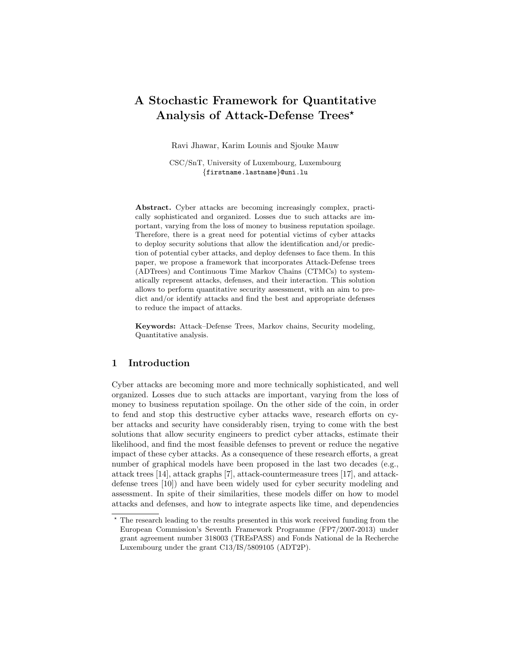# A Stochastic Framework for Quantitative Analysis of Attack-Defense Trees<sup>\*</sup>

Ravi Jhawar, Karim Lounis and Sjouke Mauw

CSC/SnT, University of Luxembourg, Luxembourg {firstname.lastname}@uni.lu

Abstract. Cyber attacks are becoming increasingly complex, practically sophisticated and organized. Losses due to such attacks are important, varying from the loss of money to business reputation spoilage. Therefore, there is a great need for potential victims of cyber attacks to deploy security solutions that allow the identification and/or prediction of potential cyber attacks, and deploy defenses to face them. In this paper, we propose a framework that incorporates Attack-Defense trees (ADTrees) and Continuous Time Markov Chains (CTMCs) to systematically represent attacks, defenses, and their interaction. This solution allows to perform quantitative security assessment, with an aim to predict and/or identify attacks and find the best and appropriate defenses to reduce the impact of attacks.

Keywords: Attack–Defense Trees, Markov chains, Security modeling, Quantitative analysis.

### 1 Introduction

Cyber attacks are becoming more and more technically sophisticated, and well organized. Losses due to such attacks are important, varying from the loss of money to business reputation spoilage. On the other side of the coin, in order to fend and stop this destructive cyber attacks wave, research efforts on cyber attacks and security have considerably risen, trying to come with the best solutions that allow security engineers to predict cyber attacks, estimate their likelihood, and find the most feasible defenses to prevent or reduce the negative impact of these cyber attacks. As a consequence of these research efforts, a great number of graphical models have been proposed in the last two decades (e.g., attack trees [14], attack graphs [7], attack-countermeasure trees [17], and attackdefense trees [10]) and have been widely used for cyber security modeling and assessment. In spite of their similarities, these models differ on how to model attacks and defenses, and how to integrate aspects like time, and dependencies

 $^\star$  The research leading to the results presented in this work received funding from the European Commission's Seventh Framework Programme (FP7/2007-2013) under grant agreement number 318003 (TREsPASS) and Fonds National de la Recherche Luxembourg under the grant C13/IS/5809105 (ADT2P).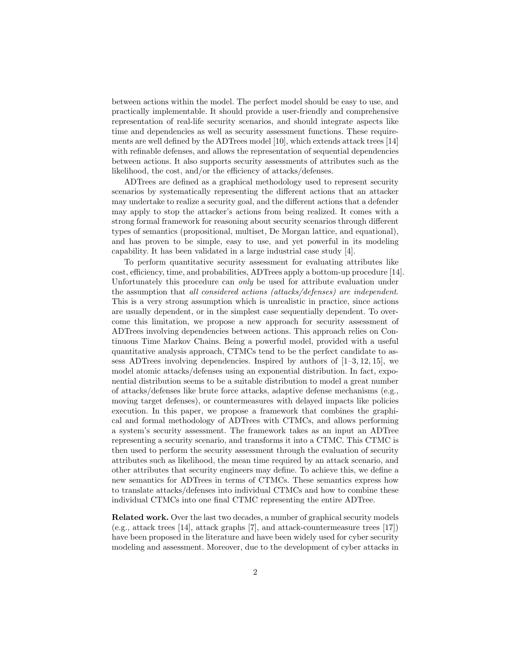between actions within the model. The perfect model should be easy to use, and practically implementable. It should provide a user-friendly and comprehensive representation of real-life security scenarios, and should integrate aspects like time and dependencies as well as security assessment functions. These requirements are well defined by the ADTrees model [10], which extends attack trees [14] with refinable defenses, and allows the representation of sequential dependencies between actions. It also supports security assessments of attributes such as the likelihood, the cost, and/or the efficiency of attacks/defenses.

ADTrees are defined as a graphical methodology used to represent security scenarios by systematically representing the different actions that an attacker may undertake to realize a security goal, and the different actions that a defender may apply to stop the attacker's actions from being realized. It comes with a strong formal framework for reasoning about security scenarios through different types of semantics (propositional, multiset, De Morgan lattice, and equational), and has proven to be simple, easy to use, and yet powerful in its modeling capability. It has been validated in a large industrial case study [4].

To perform quantitative security assessment for evaluating attributes like cost, efficiency, time, and probabilities, ADTrees apply a bottom-up procedure [14]. Unfortunately this procedure can only be used for attribute evaluation under the assumption that all considered actions (attacks/defenses) are independent. This is a very strong assumption which is unrealistic in practice, since actions are usually dependent, or in the simplest case sequentially dependent. To overcome this limitation, we propose a new approach for security assessment of ADTrees involving dependencies between actions. This approach relies on Continuous Time Markov Chains. Being a powerful model, provided with a useful quantitative analysis approach, CTMCs tend to be the perfect candidate to assess ADTrees involving dependencies. Inspired by authors of  $[1-3, 12, 15]$ , we model atomic attacks/defenses using an exponential distribution. In fact, exponential distribution seems to be a suitable distribution to model a great number of attacks/defenses like brute force attacks, adaptive defense mechanisms (e.g., moving target defenses), or countermeasures with delayed impacts like policies execution. In this paper, we propose a framework that combines the graphical and formal methodology of ADTrees with CTMCs, and allows performing a system's security assessment. The framework takes as an input an ADTree representing a security scenario, and transforms it into a CTMC. This CTMC is then used to perform the security assessment through the evaluation of security attributes such as likelihood, the mean time required by an attack scenario, and other attributes that security engineers may define. To achieve this, we define a new semantics for ADTrees in terms of CTMCs. These semantics express how to translate attacks/defenses into individual CTMCs and how to combine these individual CTMCs into one final CTMC representing the entire ADTree.

Related work. Over the last two decades, a number of graphical security models (e.g., attack trees [14], attack graphs [7], and attack-countermeasure trees [17]) have been proposed in the literature and have been widely used for cyber security modeling and assessment. Moreover, due to the development of cyber attacks in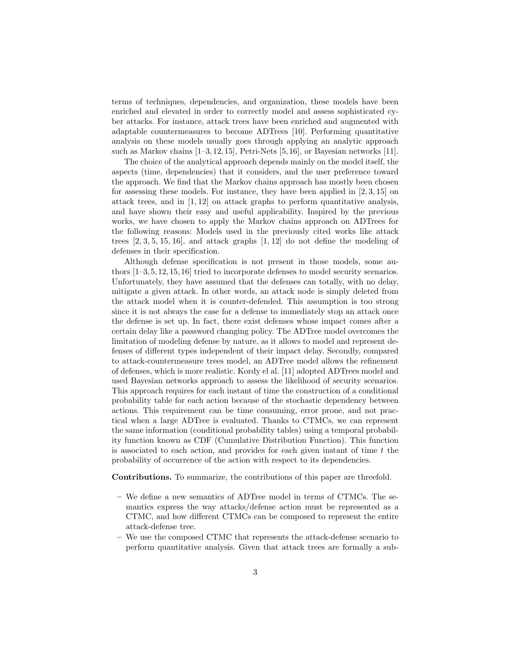terms of techniques, dependencies, and organization, these models have been enriched and elevated in order to correctly model and assess sophisticated cyber attacks. For instance, attack trees have been enriched and augmented with adaptable countermeasures to become ADTrees [10]. Performing quantitative analysis on these models usually goes through applying an analytic approach such as Markov chains  $[1-3, 12, 15]$ , Petri-Nets  $[5, 16]$ , or Bayesian networks  $[11]$ .

The choice of the analytical approach depends mainly on the model itself, the aspects (time, dependencies) that it considers, and the user preference toward the approach. We find that the Markov chains approach has mostly been chosen for assessing these models. For instance, they have been applied in [2, 3, 15] on attack trees, and in [1, 12] on attack graphs to perform quantitative analysis, and have shown their easy and useful applicability. Inspired by the previous works, we have chosen to apply the Markov chains approach on ADTrees for the following reasons: Models used in the previously cited works like attack trees  $[2, 3, 5, 15, 16]$ , and attack graphs  $[1, 12]$  do not define the modeling of defenses in their specification.

Although defense specification is not present in those models, some authors [1–3, 5, 12, 15, 16] tried to incorporate defenses to model security scenarios. Unfortunately, they have assumed that the defenses can totally, with no delay, mitigate a given attack. In other words, an attack node is simply deleted from the attack model when it is counter-defended. This assumption is too strong since it is not always the case for a defense to immediately stop an attack once the defense is set up. In fact, there exist defenses whose impact comes after a certain delay like a password changing policy. The ADTree model overcomes the limitation of modeling defense by nature, as it allows to model and represent defenses of different types independent of their impact delay. Secondly, compared to attack-countermeasure trees model, an ADTree model allows the refinement of defenses, which is more realistic. Kordy el al. [11] adopted ADTrees model and used Bayesian networks approach to assess the likelihood of security scenarios. This approach requires for each instant of time the construction of a conditional probability table for each action because of the stochastic dependency between actions. This requirement can be time consuming, error prone, and not practical when a large ADTree is evaluated. Thanks to CTMCs, we can represent the same information (conditional probability tables) using a temporal probability function known as CDF (Cumulative Distribution Function). This function is associated to each action, and provides for each given instant of time  $t$  the probability of occurrence of the action with respect to its dependencies.

Contributions. To summarize, the contributions of this paper are threefold.

- We define a new semantics of ADTree model in terms of CTMCs. The semantics express the way attacks/defense action must be represented as a CTMC, and how different CTMCs can be composed to represent the entire attack-defense tree.
- We use the composed CTMC that represents the attack-defense scenario to perform quantitative analysis. Given that attack trees are formally a sub-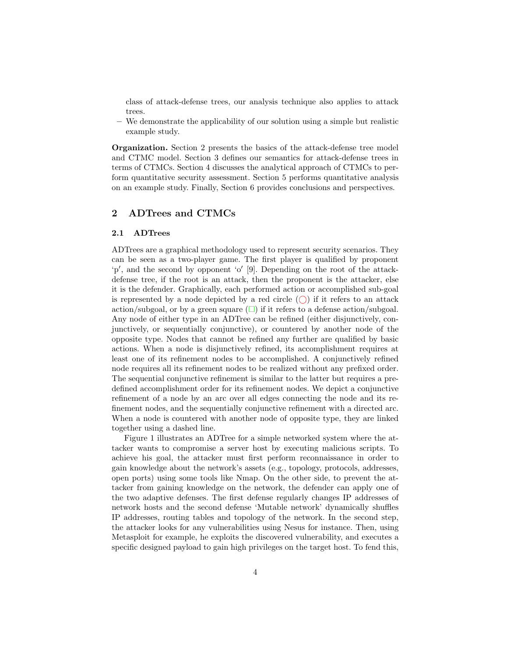class of attack-defense trees, our analysis technique also applies to attack trees.

– We demonstrate the applicability of our solution using a simple but realistic example study.

Organization. Section 2 presents the basics of the attack-defense tree model and CTMC model. Section 3 defines our semantics for attack-defense trees in terms of CTMCs. Section 4 discusses the analytical approach of CTMCs to perform quantitative security assessment. Section 5 performs quantitative analysis on an example study. Finally, Section 6 provides conclusions and perspectives.

#### 2 ADTrees and CTMCs

#### 2.1 ADTrees

ADTrees are a graphical methodology used to represent security scenarios. They can be seen as a two-player game. The first player is qualified by proponent 'p', and the second by opponent 'o' [9]. Depending on the root of the attackdefense tree, if the root is an attack, then the proponent is the attacker, else it is the defender. Graphically, each performed action or accomplished sub-goal is represented by a node depicted by a red circle  $(\bigcap)$  if it refers to an attack action/subgoal, or by a green square  $(\Box)$  if it refers to a defense action/subgoal. Any node of either type in an ADTree can be refined (either disjunctively, conjunctively, or sequentially conjunctive), or countered by another node of the opposite type. Nodes that cannot be refined any further are qualified by basic actions. When a node is disjunctively refined, its accomplishment requires at least one of its refinement nodes to be accomplished. A conjunctively refined node requires all its refinement nodes to be realized without any prefixed order. The sequential conjunctive refinement is similar to the latter but requires a predefined accomplishment order for its refinement nodes. We depict a conjunctive refinement of a node by an arc over all edges connecting the node and its refinement nodes, and the sequentially conjunctive refinement with a directed arc. When a node is countered with another node of opposite type, they are linked together using a dashed line.

Figure 1 illustrates an ADTree for a simple networked system where the attacker wants to compromise a server host by executing malicious scripts. To achieve his goal, the attacker must first perform reconnaissance in order to gain knowledge about the network's assets (e.g., topology, protocols, addresses, open ports) using some tools like Nmap. On the other side, to prevent the attacker from gaining knowledge on the network, the defender can apply one of the two adaptive defenses. The first defense regularly changes IP addresses of network hosts and the second defense 'Mutable network' dynamically shuffles IP addresses, routing tables and topology of the network. In the second step, the attacker looks for any vulnerabilities using Nesus for instance. Then, using Metasploit for example, he exploits the discovered vulnerability, and executes a specific designed payload to gain high privileges on the target host. To fend this,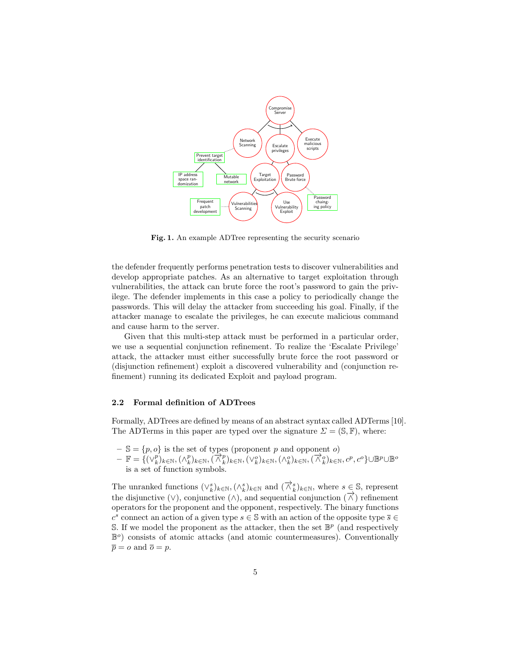

Fig. 1. An example ADTree representing the security scenario

the defender frequently performs penetration tests to discover vulnerabilities and develop appropriate patches. As an alternative to target exploitation through vulnerabilities, the attack can brute force the root's password to gain the privilege. The defender implements in this case a policy to periodically change the passwords. This will delay the attacker from succeeding his goal. Finally, if the attacker manage to escalate the privileges, he can execute malicious command and cause harm to the server.

Given that this multi-step attack must be performed in a particular order, we use a sequential conjunction refinement. To realize the 'Escalate Privilege' attack, the attacker must either successfully brute force the root password or (disjunction refinement) exploit a discovered vulnerability and (conjunction refinement) running its dedicated Exploit and payload program.

#### 2.2 Formal definition of ADTrees

Formally, ADTrees are defined by means of an abstract syntax called ADTerms [10]. The ADTerms in this paper are typed over the signature  $\Sigma = (\mathbb{S}, \mathbb{F})$ , where:

- $-\mathbb{S} = \{p, o\}$  is the set of types (proponent p and opponent o)
- $-\mathbb{F} = \{(\vee_k^p)_{k \in \mathbb{N}}, (\wedge_k^p)_{k \in \mathbb{N}}, (\vee_k^o)_{k \in \mathbb{N}}, (\wedge_k^o)_{k \in \mathbb{N}}, (\overrightarrow{\wedge}_k^o)_{k \in \mathbb{N}}, c^p, c^o\} \cup \mathbb{B}^p \cup \mathbb{B}^o$ is a set of function symbols.

The unranked functions  $(\vee_k^s)_{k \in \mathbb{N}}, (\wedge_k^s)_{k \in \mathbb{N}}$  and  $(\overrightarrow{\wedge}_k^s)_{k \in \mathbb{N}}$ , where  $s \in \mathbb{S}$ , represent the disjunctive (∨), conjunctive (∧), and sequential conjunction  $(\overrightarrow{\wedge})$  refinement operators for the proponent and the opponent, respectively. The binary functions  $c^s$  connect an action of a given type  $s\in\mathbb{S}$  with an action of the opposite type  $\overline{s}\in\mathbb{S}$ S. If we model the proponent as the attacker, then the set  $\mathbb{B}^p$  (and respectively  $\mathbb{B}^o$ ) consists of atomic attacks (and atomic countermeasures). Conventionally  $\overline{p} = o$  and  $\overline{o} = p$ .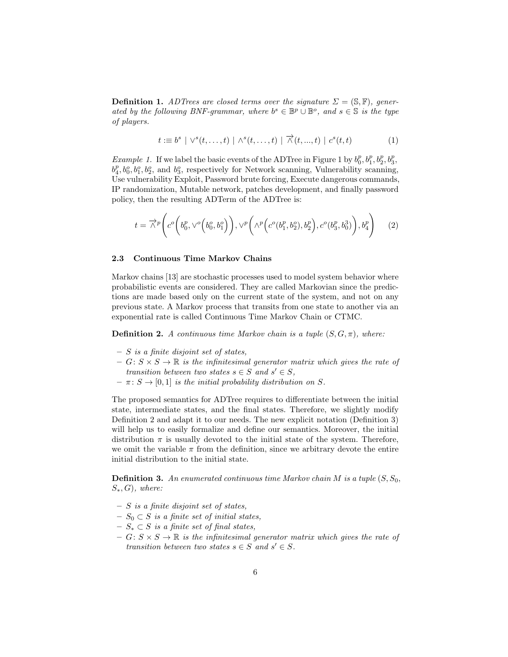**Definition 1.** ADTrees are closed terms over the signature  $\Sigma = (\mathbb{S}, \mathbb{F})$ , generated by the following BNF-grammar, where  $b^s \in \mathbb{B}^p \cup \mathbb{B}^o$ , and  $s \in \mathbb{S}$  is the type of players.

$$
t := b^s \mid \vee^s(t, \dots, t) \mid \wedge^s(t, \dots, t) \mid \overrightarrow{\wedge}(t, \dots, t) \mid c^s(t, t)
$$
 (1)

*Example 1.* If we label the basic events of the ADTree in Figure 1 by  $b_0^p, b_1^p, b_2^p, b_3^p$ ,  $b_4^p, b_0^o, b_1^o, b_2^o$ , and  $b_3^o$ , respectively for Network scanning, Vulnerability scanning, Use vulnerability Exploit, Password brute forcing, Execute dangerous commands, IP randomization, Mutable network, patches development, and finally password policy, then the resulting ADTerm of the ADTree is:

$$
t = \overrightarrow{\wedge}^p \left( c^o \left( b_0^p, \vee^o \left( b_0^o, b_1^o \right) \right), \vee^p \left( \wedge^p \left( c^o (b_1^p, b_2^o), b_2^p \right), c^o (b_3^p, b_0^3) \right), b_4^p \right) \tag{2}
$$

#### 2.3 Continuous Time Markov Chains

Markov chains [13] are stochastic processes used to model system behavior where probabilistic events are considered. They are called Markovian since the predictions are made based only on the current state of the system, and not on any previous state. A Markov process that transits from one state to another via an exponential rate is called Continuous Time Markov Chain or CTMC.

**Definition 2.** A continuous time Markov chain is a tuple  $(S, G, \pi)$ , where:

- $S$  is a finite disjoint set of states,
- $-G: S \times S \to \mathbb{R}$  is the infinitesimal generator matrix which gives the rate of transition between two states  $s \in S$  and  $s' \in S$ ,
- $\pi \colon S \to [0, 1]$  is the initial probability distribution on S.

The proposed semantics for ADTree requires to differentiate between the initial state, intermediate states, and the final states. Therefore, we slightly modify Definition 2 and adapt it to our needs. The new explicit notation (Definition 3) will help us to easily formalize and define our semantics. Moreover, the initial distribution  $\pi$  is usually devoted to the initial state of the system. Therefore, we omit the variable  $\pi$  from the definition, since we arbitrary devote the entire initial distribution to the initial state.

**Definition 3.** An enumerated continuous time Markov chain M is a tuple  $(S, S_0,$  $S_*, G$ , where:

- $S$  is a finite disjoint set of states,
- $− S<sub>0</sub> ⊂ S$  is a finite set of initial states,
- $− S_* ⊂ S$  is a finite set of final states,
- $-G: S \times S \to \mathbb{R}$  is the infinitesimal generator matrix which gives the rate of transition between two states  $s \in S$  and  $s' \in S$ .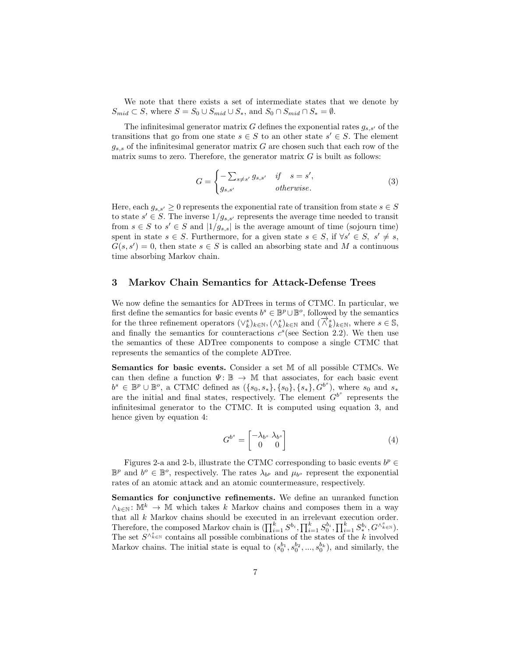We note that there exists a set of intermediate states that we denote by  $S_{mid} \subset S$ , where  $S = S_0 \cup S_{mid} \cup S_*$ , and  $S_0 \cap S_{mid} \cap S_* = \emptyset$ .

The infinitesimal generator matrix  $G$  defines the exponential rates  $g_{s,s'}$  of the transitions that go from one state  $s \in S$  to an other state  $s' \in S$ . The element  $g_{s,s}$  of the infinitesimal generator matrix G are chosen such that each row of the matrix sums to zero. Therefore, the generator matrix  $G$  is built as follows:

$$
G = \begin{cases} -\sum_{s \neq s'} g_{s,s'} & \text{if } s = s', \\ g_{s,s'} & \text{otherwise.} \end{cases}
$$
 (3)

Here, each  $g_{s,s'} \geq 0$  represents the exponential rate of transition from state  $s \in S$ to state  $s' \in S$ . The inverse  $1/g_{s,s'}$  represents the average time needed to transit from  $s \in S$  to  $s' \in S$  and  $|1/g_{s,s}|$  is the average amount of time (sojourn time) spent in state  $s \in S$ . Furthermore, for a given state  $s \in S$ , if  $\forall s' \in S$ ,  $s' \neq s$ ,  $G(s, s') = 0$ , then state  $s \in S$  is called an absorbing state and M a continuous time absorbing Markov chain.

## 3 Markov Chain Semantics for Attack-Defense Trees

We now define the semantics for ADTrees in terms of CTMC. In particular, we first define the semantics for basic events  $b^s \in \mathbb{B}^p \cup \mathbb{B}^o$ , followed by the semantics for the three refinement operators  $(\vee_k^s)_{k \in \mathbb{N}}, (\wedge_k^s)_{k \in \mathbb{N}}$  and  $(\overrightarrow{\wedge}_k^s)_{k \in \mathbb{N}}$ , where  $s \in \mathbb{S}$ , and finally the semantics for counteractions  $c^s$  (see Section 2.2). We then use the semantics of these ADTree components to compose a single CTMC that represents the semantics of the complete ADTree.

Semantics for basic events. Consider a set M of all possible CTMCs. We can then define a function  $\Psi: \mathbb{B} \to \mathbb{M}$  that associates, for each basic event  $b^s \in \mathbb{B}^p \cup \mathbb{B}^o$ , a CTMC defined as  $({s_0, s_*}, {s_0}, {s_*}, G^{b^s})$ , where  $s_0$  and  $s_*$ are the initial and final states, respectively. The element  $G^{b^s}$  represents the infinitesimal generator to the CTMC. It is computed using equation 3, and hence given by equation 4:

$$
G^{b^s} = \begin{bmatrix} -\lambda_{b^s} & \lambda_{b^s} \\ 0 & 0 \end{bmatrix} \tag{4}
$$

Figures 2-a and 2-b, illustrate the CTMC corresponding to basic events  $b^p \in$  $\mathbb{B}^p$  and  $b^o \in \mathbb{B}^o$ , respectively. The rates  $\lambda_{b^p}$  and  $\mu_{b^o}$  represent the exponential rates of an atomic attack and an atomic countermeasure, respectively.

Semantics for conjunctive refinements. We define an unranked function  $\wedge_{k\in\mathbb{N}}: \mathbb{M}^k \to \mathbb{M}$  which takes k Markov chains and composes them in a way that all k Markov chains should be executed in an irrelevant execution order. Therefore, the composed Markov chain is  $(\prod_{i=1}^k S^{b_i}, \prod_{i=1}^k S_0^{b_i}, \prod_{i=1}^k S_*^{b_i}, G^{\wedge_{k \in \mathbb{N}}^s}).$ The set  $S^{\wedge_{k\in\mathbb{N}}^{s}}$  contains all possible combinations of the states of the k involved Markov chains. The initial state is equal to  $(s_0^{b_1}, s_0^{b_2}, ..., s_0^{b_k})$ , and similarly, the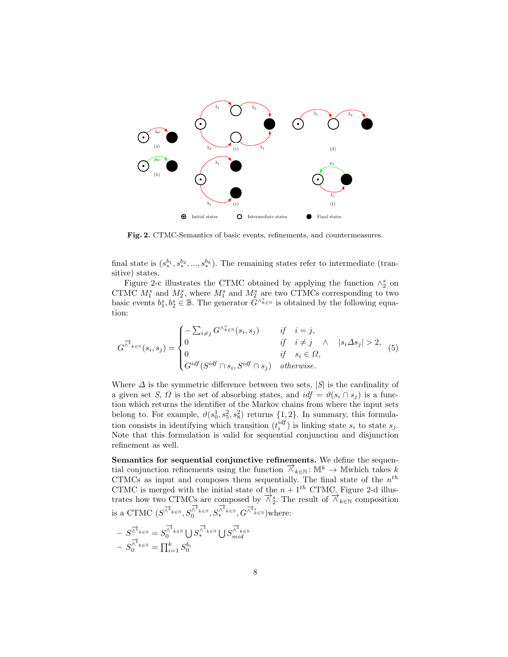

Fig. 2. CTMC-Semantics of basic events, refinements, and countermeasures.

final state is  $(s_*^{b_1}, s_*^{b_2}, ..., s_*^{b_k})$ . The remaining states refer to intermediate (transitive) states.

Figure 2-c illustrates the CTMC obtained by applying the function  $\wedge_2^s$  on CTMC  $M_1^s$  and  $M_2^s$ , where  $M_1^s$  and  $M_2^s$  are two CTMCs corresponding to two basic events  $b_1^s, b_2^s \in \mathbb{B}$ . The generator  $\tilde{G}^{\wedge_{k}^s}$  is obtained by the following equation:

$$
G^{\overrightarrow{\wedge}_{k \in \mathbb{N}}}(s_i, s_j) = \begin{cases} -\sum_{i \neq j} G^{\wedge_{k \in \mathbb{N}}^{s}}(s_i, s_j) & \text{if } i = j, \\ 0 & \text{if } i \neq j \land |s_i \Delta s_j| > 2, \\ 0 & \text{if } s_i \in \Omega, \\ G^{idf}(S^{idf} \cap s_i, S^{idf} \cap s_j) & \text{otherwise.} \end{cases} \tag{5}
$$

Where  $\Delta$  is the symmetric difference between two sets,  $|S|$  is the cardinality of a given set S,  $\Omega$  is the set of absorbing states, and  $\text{id} f = \vartheta(s_i \cap s_j)$  is a function which returns the identifier of the Markov chains from where the input sets belong to. For example,  $\vartheta(s_0^1, s_5^2, s_8^2)$  returns  $\{1, 2\}$ . In summary, this formulation consists in identifying which transition  $(t_i^{idf})$  is linking state  $s_i$  to state  $s_j$ . Note that this formulation is valid for sequential conjunction and disjunction refinement as well.

Semantics for sequential conjunctive refinements. We define the sequential conjunction refinements using the function  $\overrightarrow{\wedge}_{k\in\mathbb{N}}$ : M<sup>k</sup>  $\rightarrow$  Mwhich takes k CTMCs as input and composes them sequentially. The final state of the  $n^{th}$ CTMC is merged with the initial state of the  $n + 1<sup>th</sup>$  CTMC. Figure 2-d illustrates how two CTMCs are composed by  $\overrightarrow{\wedge}_2^s$ . The result of  $\overrightarrow{\wedge}_{k\in\mathbb{N}}$  composition is a CTMC  $(S^{\overrightarrow{\bigwedge}^{\mathbf{\overrightarrow{h}}}\kappa\in\mathbb{N}}},S^{\overrightarrow{\bigwedge}^{\mathbf{\overrightarrow{h}}}\kappa\in\mathbb{N}}}_{0},S^{\overrightarrow{\bigwedge}^{\mathbf{\overrightarrow{h}}}\kappa\in\mathbb{N}}_{*},G^{\overrightarrow{\bigwedge}^{\mathbf{\overrightarrow{h}}}\kappa}_{k}\in\mathbb{N}})$  where:

$$
- S^{\overrightarrow{\wedge}_{k\in\mathbb{N}}} = S_0^{\overrightarrow{\wedge}_{k\in\mathbb{N}}} \cup S_*^{\overrightarrow{\wedge}_{k\in\mathbb{N}}} \cup S^{\overrightarrow{\wedge}_{k\in\mathbb{N}}} \cup S_{mid}^{\overrightarrow{\wedge}_{k\in\mathbb{N}}} \\ - S_0^{\overrightarrow{\wedge}_{k\in\mathbb{N}}} = \prod_{i=1}^k S_0^{b_i}
$$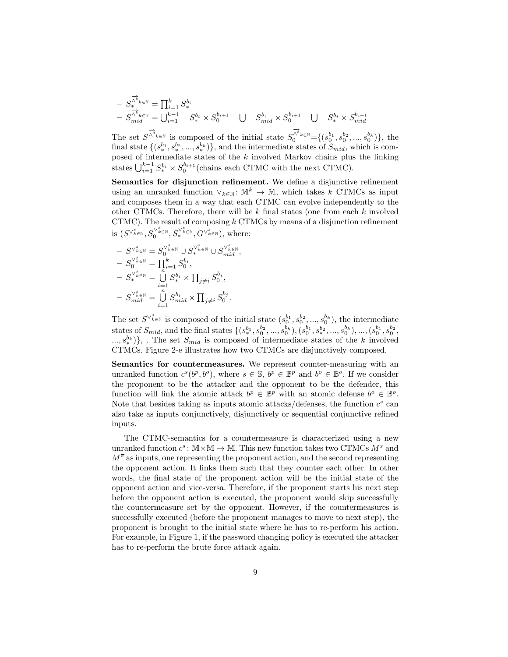$$
- S_{\ast}^{\overrightarrow{A}}{}_{k \in \mathbb{N}} = \prod_{i=1}^{k} S_{\ast}^{b_{i}}
$$
  
- S\_{mid}^{\overrightarrow{A}}{}\_{k \in \mathbb{N}} = \bigcup\_{i=1}^{k-1} S\_{\ast}^{b\_{i}} \times S\_{0}^{b\_{i+1}} \quad \bigcup \quad S\_{mid}^{b\_{i}} \times S\_{0}^{b\_{i+1}} \quad \bigcup \quad S\_{\ast}^{b\_{i}} \times S\_{mid}^{b\_{i+1}}

The set  $S^{\overrightarrow{\bigwedge}^{\&}_{k\in\mathbb{N}}}$  is composed of the initial state  $S^{\overrightarrow{\bigwedge}^{\&}_{k\in\mathbb{N}}}=\{(s_0^{b_1},s_0^{b_2},...,s_0^{b_k})\}$ , the final state  $\{(s_*^{b_1}, s_*^{b_2}, ..., s_*^{b_k})\}$ , and the intermediate states of  $S_{mid}$ , which is composed of intermediate states of the  $k$  involved Markov chains plus the linking states  $\bigcup_{i=1}^{k-1} S_{*}^{b_i} \times S_0^{b_{i+1}}$  (chains each CTMC with the next CTMC).

Semantics for disjunction refinement. We define a disjunctive refinement using an unranked function  $\vee_{k\in\mathbb{N}}: \mathbb{M}^k \to \mathbb{M}$ , which takes k CTMCs as input and composes them in a way that each CTMC can evolve independently to the other CTMCs. Therefore, there will be k final states (one from each k involved CTMC). The result of composing  $k$  CTMCs by means of a disjunction refinement is  $(S^{\vee_{k\in\mathbb{N}}^s}, S_0^{\vee_{k\in\mathbb{N}}^s}, S_*^{\vee_{k\in\mathbb{N}}^s}, G^{\vee_{k\in\mathbb{N}}^s}),$  where:

$$
\begin{array}{l} \quad -\ S^{\vee_{k \in \mathbb{N}}^{s}}=S_{0}^{\vee_{k \in \mathbb{N}}^{s}}\cup S_{*}^{\vee_{k \in \mathbb{N}}^{s}}\cup S_{mid}^{\vee_{k \in \mathbb{N}}^{s}},\\ \quad -\ S_{0}^{\vee_{k \in \mathbb{N}}^{s}}=\prod_{i=1}^{k}S_{0}^{b_{i}},\\ \quad -\ S_{*}^{\vee_{k \in \mathbb{N}}^{s}}=\bigcup_{i=1}^{n}S_{*}^{b_{i}}\times\prod_{j\neq i}S_{0}^{b_{j}},\\ \quad -\ S_{mid}^{\vee_{k \in \mathbb{N}}^{s}}=\bigcup_{i=1}^{n}S_{mid}^{b_{i}}\times\prod_{j\neq i}S_{0}^{b_{j}}.\end{array}
$$

The set  $S^{\vee_{k\in\mathbb{N}}^{s}}$  is composed of the initial state  $(s_0^{b_1}, s_0^{b_2}, ..., s_0^{b_k})$ , the intermediate states of  $S_{mid}$ , and the final states  $\{(s_1^{b_1}, s_0^{b_2}, ..., s_0^{b_k}), (s_0^{b_1}, s_1^{b_2}, ..., s_0^{b_k}), ..., (s_0^{b_1}, s_0^{b_2},$  $\{a_1, a_2^{(k)}\}\$ , The set  $S_{mid}$  is composed of intermediate states of the k involved CTMCs. Figure 2-e illustrates how two CTMCs are disjunctively composed.

Semantics for countermeasures. We represent counter-measuring with an unranked function  $c^s(b^p, b^o)$ , where  $s \in \mathbb{S}$ ,  $b^p \in \mathbb{B}^p$  and  $b^o \in \mathbb{B}^o$ . If we consider the proponent to be the attacker and the opponent to be the defender, this function will link the atomic attack  $b^p \in \mathbb{B}^p$  with an atomic defense  $b^o \in \mathbb{B}^o$ . Note that besides taking as inputs atomic attacks/defenses, the function  $c^s$  can also take as inputs conjunctively, disjunctively or sequential conjunctive refined inputs.

The CTMC-semantics for a countermeasure is characterized using a new unranked function  $c^s : \mathbb{M} \times \mathbb{M} \to \mathbb{M}$ . This new function takes two CTMCs  $M^s$  and  $M^{\overline{s}}$  as inputs, one representing the proponent action, and the second representing the opponent action. It links them such that they counter each other. In other words, the final state of the proponent action will be the initial state of the opponent action and vice-versa. Therefore, if the proponent starts his next step before the opponent action is executed, the proponent would skip successfully the countermeasure set by the opponent. However, if the countermeasures is successfully executed (before the proponent manages to move to next step), the proponent is brought to the initial state where he has to re-perform his action. For example, in Figure 1, if the password changing policy is executed the attacker has to re-perform the brute force attack again.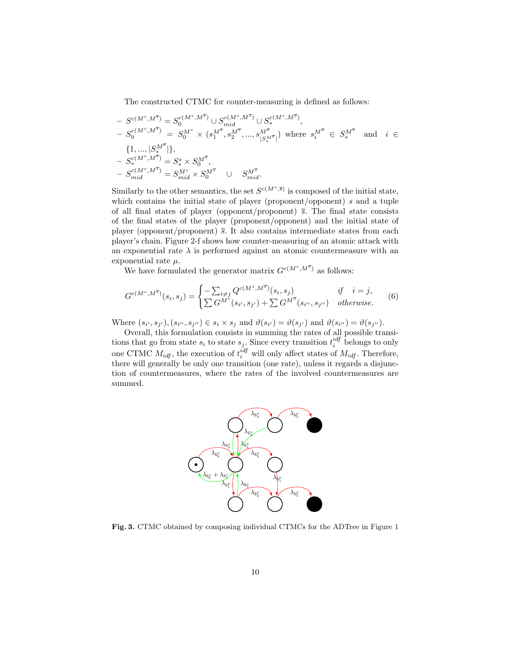The constructed CTMC for counter-measuring is defined as follows:

$$
S^{c(M^s, M^{\overline{s}})} = S^{c(M^s, M^{\overline{s}})}_0 \cup S^{c(M^s, M^{\overline{s}})}_{mid} \cup S^{c(M^s, M^{\overline{s}})}_*
$$
\n
$$
S^{c(M^s, M^{\overline{s}})}_0 = S^{M^s}_0 \times (s^{M^{\overline{s}}}_1, s^{M^{\overline{s}}}_2, ..., s^{M^{\overline{s}}}_{|S^{M^{\overline{s}}}_*|})
$$
\nwhere  $s^{M^{\overline{s}}}_i \in S^{M^{\overline{s}}}_*$  and  $i \in$ \n
$$
\{1, ..., |S^{M^{\overline{s}}}_*\} \},
$$
\n
$$
S^{c(M^s, M^{\overline{s}})}_s = S^s_* \times S^{M^{\overline{s}}}_0,
$$
\n
$$
S^{c(M^s, M^{\overline{s}})}_{mid} = S^{M^s}_{mid} \times S^{M^{\overline{s}}}_0 \cup S^{M^{\overline{s}}}_{mid}.
$$

Similarly to the other semantics, the set  $S^{c(M^s, \overline{s})}$  is composed of the initial state, which contains the initial state of player (proponent/opponent)  $s$  and a tuple of all final states of player (opponent/proponent)  $\bar{s}$ . The final state consists of the final states of the player (proponent/opponent) and the initial state of player (opponent/proponent)  $\bar{s}$ . It also contains intermediate states from each player's chain. Figure 2-f shows how counter-measuring of an atomic attack with an exponential rate  $\lambda$  is performed against an atomic countermeasure with an exponential rate  $\mu$ .

We have formulated the generator matrix  $G^{c(M^s, M^{\overline{s}})}$  as follows:

$$
G^{c(M^s, M^{\overline{s}})}(s_i, s_j) = \begin{cases} -\sum_{i \neq j} Q^{c(M^s, M^{\overline{s}})}(s_i, s_j) & if \quad i = j, \\ \sum G^{M^s}(s_{i'}, s_{j'}) + \sum G^{M^{\overline{s}}}(s_{i''}, s_{j''}) & otherwise. \end{cases}
$$
(6)

Where  $(s_{i'}, s_{j'}), (s_{i''}, s_{j''}) \in s_i \times s_j$  and  $\vartheta(s_{i'}) = \vartheta(s_{j'})$  and  $\vartheta(s_{i''}) = \vartheta(s_{j''}).$ 

Overall, this formulation consists in summing the rates of all possible transitions that go from state  $s_i$  to state  $s_j$ . Since every transition  $t_i^{idf}$  belongs to only one CTMC  $M_{idf}$ , the execution of  $t_i^{idf}$  will only affect states of  $M_{idf}$ . Therefore, there will generally be only one transition (one rate), unless it regards a disjunction of countermeasures, where the rates of the involved countermeasures are summed.



Fig. 3. CTMC obtained by composing individual CTMCs for the ADTree in Figure 1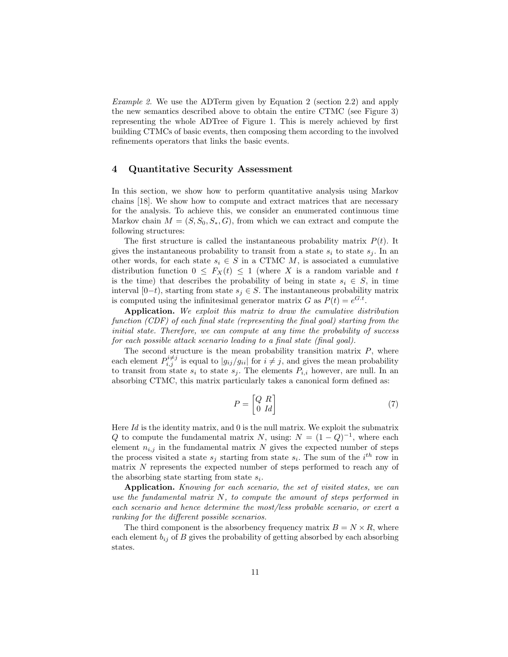Example 2. We use the ADTerm given by Equation 2 (section 2.2) and apply the new semantics described above to obtain the entire CTMC (see Figure 3) representing the whole ADTree of Figure 1. This is merely achieved by first building CTMCs of basic events, then composing them according to the involved refinements operators that links the basic events.

### 4 Quantitative Security Assessment

In this section, we show how to perform quantitative analysis using Markov chains [18]. We show how to compute and extract matrices that are necessary for the analysis. To achieve this, we consider an enumerated continuous time Markov chain  $M = (S, S_0, S_*, G)$ , from which we can extract and compute the following structures:

The first structure is called the instantaneous probability matrix  $P(t)$ . It gives the instantaneous probability to transit from a state  $s_i$  to state  $s_j$ . In an other words, for each state  $s_i \in S$  in a CTMC M, is associated a cumulative distribution function  $0 \leq F_X(t) \leq 1$  (where X is a random variable and t is the time) that describes the probability of being in state  $s_i \in S$ , in time interval [0−t), starting from state  $s<sub>i</sub> \in S$ . The instantaneous probability matrix is computed using the infinitesimal generator matrix G as  $P(t) = e^{G.t}$ .

Application. We exploit this matrix to draw the cumulative distribution function (CDF) of each final state (representing the final goal) starting from the initial state. Therefore, we can compute at any time the probability of success for each possible attack scenario leading to a final state (final goal).

The second structure is the mean probability transition matrix  $P$ , where each element  $P_{i,j}^{i\neq j}$  is equal to  $|g_{ij}/g_{ii}|$  for  $i \neq j$ , and gives the mean probability to transit from state  $s_i$  to state  $s_j$ . The elements  $P_{i,i}$  however, are null. In an absorbing CTMC, this matrix particularly takes a canonical form defined as:

$$
P = \begin{bmatrix} Q & R \\ 0 & Id \end{bmatrix} \tag{7}
$$

Here Id is the identity matrix, and  $\theta$  is the null matrix. We exploit the submatrix Q to compute the fundamental matrix N, using:  $N = (1 - Q)^{-1}$ , where each element  $n_{i,j}$  in the fundamental matrix N gives the expected number of steps the process visited a state  $s_j$  starting from state  $s_i$ . The sum of the  $i^{th}$  row in matrix  $N$  represents the expected number of steps performed to reach any of the absorbing state starting from state  $s_i$ .

Application. Knowing for each scenario, the set of visited states, we can use the fundamental matrix  $N$ , to compute the amount of steps performed in each scenario and hence determine the most/less probable scenario, or exert a ranking for the different possible scenarios.

The third component is the absorbency frequency matrix  $B = N \times R$ , where each element  $b_{ij}$  of B gives the probability of getting absorbed by each absorbing states.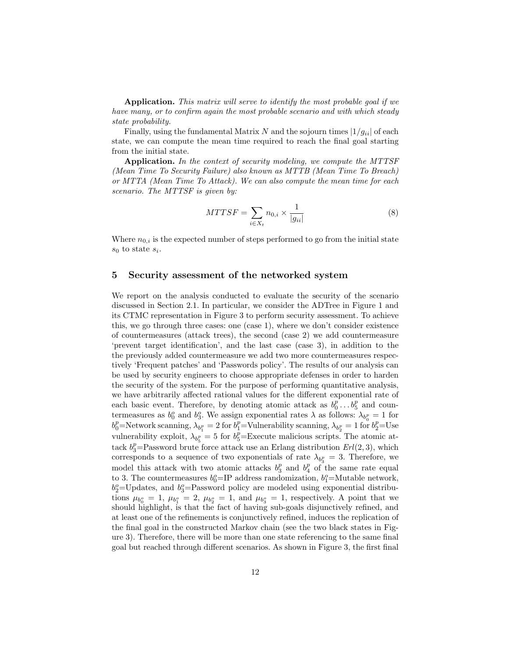Application. This matrix will serve to identify the most probable goal if we have many, or to confirm again the most probable scenario and with which steady state probability.

Finally, using the fundamental Matrix N and the sojourn times  $|1/g_{ii}|$  of each state, we can compute the mean time required to reach the final goal starting from the initial state.

Application. In the context of security modeling, we compute the MTTSF (Mean Time To Security Failure) also known as MTTB (Mean Time To Breach) or MTTA (Mean Time To Attack). We can also compute the mean time for each scenario. The MTTSF is given by:

$$
MTTSF = \sum_{i \in X_t} n_{0,i} \times \frac{1}{|g_{ii}|} \tag{8}
$$

Where  $n_{0,i}$  is the expected number of steps performed to go from the initial state  $s_0$  to state  $s_i$ .

#### 5 Security assessment of the networked system

We report on the analysis conducted to evaluate the security of the scenario discussed in Section 2.1. In particular, we consider the ADTree in Figure 1 and its CTMC representation in Figure 3 to perform security assessment. To achieve this, we go through three cases: one (case 1), where we don't consider existence of countermeasures (attack trees), the second (case 2) we add countermeasure 'prevent target identification', and the last case (case 3), in addition to the the previously added countermeasure we add two more countermeasures respectively 'Frequent patches' and 'Passwords policy'. The results of our analysis can be used by security engineers to choose appropriate defenses in order to harden the security of the system. For the purpose of performing quantitative analysis, we have arbitrarily affected rational values for the different exponential rate of each basic event. Therefore, by denoting atomic attack as  $b_0^p \dots b_5^p$  and countermeasures as  $b_0^o$  and  $b_3^o$ . We assign exponential rates  $\lambda$  as follows:  $\lambda_{b_0^p} = 1$  for  $b_0^p$ =Network scanning,  $\lambda_{b_1^p} = 2$  for  $b_1^p$ =Vulnerability scanning,  $\lambda_{b_2^p} = 1$  for  $b_2^p$ =Use vulnerability exploit,  $\lambda_{b_5^p} = 5$  for  $b_5^p =$ Execute malicious scripts. The atomic attack  $b_3^p$ =Password brute force attack use an Erlang distribution  $Erl(2, 3)$ , which corresponds to a sequence of two exponentials of rate  $\lambda_{b_3^p} = 3$ . Therefore, we model this attack with two atomic attacks  $b_3^p$  and  $b_4^p$  of the same rate equal to 3. The countermeasures  $b_0^o$ =IP address randomization,  $b_1^o$ =Mutable network,  $b_2^o$ =Updates, and  $b_3^o$ =Password policy are modeled using exponential distributions  $\mu_{b_0^o} = 1$ ,  $\mu_{b_1^o} = 2$ ,  $\mu_{b_2^o} = 1$ , and  $\mu_{b_3^o} = 1$ , respectively. A point that we should highlight, is that the fact of having sub-goals disjunctively refined, and at least one of the refinements is conjunctively refined, induces the replication of the final goal in the constructed Markov chain (see the two black states in Figure 3). Therefore, there will be more than one state referencing to the same final goal but reached through different scenarios. As shown in Figure 3, the first final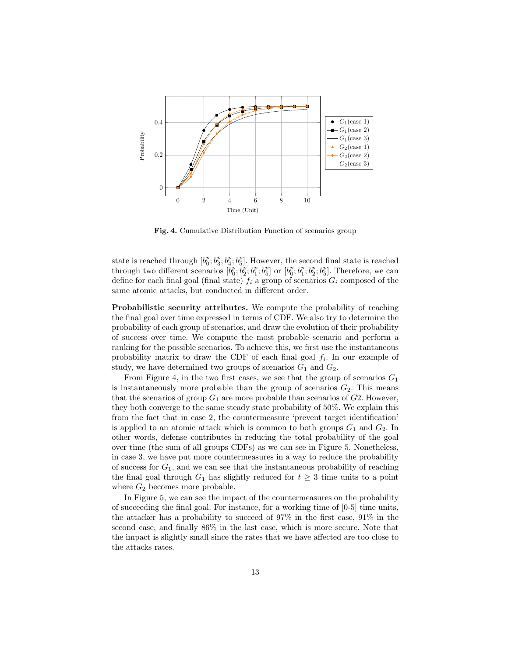

Fig. 4. Cumulative Distribution Function of scenarios group

state is reached through  $[b_0^p, b_3^p, b_4^p, b_5^p]$ . However, the second final state is reached through two different scenarios  $[b_0^p, b_2^p; b_1^p; b_5^p]$  or  $[b_0^p; b_1^p; b_2^p; b_5^p]$ . Therefore, we can define for each final goal (final state)  $f_i$  a group of scenarios  $G_i$  composed of the same atomic attacks, but conducted in different order.

Probabilistic security attributes. We compute the probability of reaching the final goal over time expressed in terms of CDF. We also try to determine the probability of each group of scenarios, and draw the evolution of their probability of success over time. We compute the most probable scenario and perform a ranking for the possible scenarios. To achieve this, we first use the instantaneous probability matrix to draw the CDF of each final goal  $f_i$ . In our example of study, we have determined two groups of scenarios  $G_1$  and  $G_2$ .

From Figure 4, in the two first cases, we see that the group of scenarios  $G_1$ is instantaneously more probable than the group of scenarios  $G_2$ . This means that the scenarios of group  $G_1$  are more probable than scenarios of  $G_2$ . However, they both converge to the same steady state probability of 50%. We explain this from the fact that in case 2, the countermeasure 'prevent target identification' is applied to an atomic attack which is common to both groups  $G_1$  and  $G_2$ . In other words, defense contributes in reducing the total probability of the goal over time (the sum of all groups CDFs) as we can see in Figure 5. Nonetheless, in case 3, we have put more countermeasures in a way to reduce the probability of success for  $G_1$ , and we can see that the instantaneous probability of reaching the final goal through  $G_1$  has slightly reduced for  $t \geq 3$  time units to a point where  $G_2$  becomes more probable.

In Figure 5, we can see the impact of the countermeasures on the probability of succeeding the final goal. For instance, for a working time of [0-5] time units, the attacker has a probability to succeed of 97% in the first case, 91% in the second case, and finally 86% in the last case, which is more secure. Note that the impact is slightly small since the rates that we have affected are too close to the attacks rates.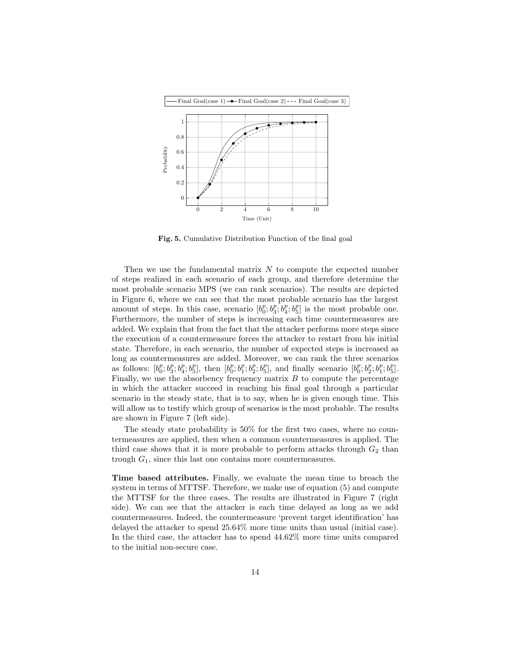

Fig. 5. Cumulative Distribution Function of the final goal

Then we use the fundamental matrix  $N$  to compute the expected number of steps realized in each scenario of each group, and therefore determine the most probable scenario MPS (we can rank scenarios). The results are depicted in Figure 6, where we can see that the most probable scenario has the largest amount of steps. In this case, scenario  $[b_0^p; b_3^p; b_4^p; b_5^p]$  is the most probable one. Furthermore, the number of steps is increasing each time countermeasures are added. We explain that from the fact that the attacker performs more steps since the execution of a countermeasure forces the attacker to restart from his initial state. Therefore, in each scenario, the number of expected steps is increased as long as countermeasures are added. Moreover, we can rank the three scenarios as follows:  $[b_0^p; b_3^p; b_4^p; b_5^p]$ , then  $[b_0^p; b_1^p; b_2^p; b_5^p]$ , and finally scenario  $[b_0^p; b_2^p; b_1^p; b_5^p]$ . Finally, we use the absorbency frequency matrix  $B$  to compute the percentage in which the attacker succeed in reaching his final goal through a particular scenario in the steady state, that is to say, when he is given enough time. This will allow us to testify which group of scenarios is the most probable. The results are shown in Figure 7 (left side).

The steady state probability is 50% for the first two cases, where no countermeasures are applied, then when a common countermeasures is applied. The third case shows that it is more probable to perform attacks through  $G_2$  than trough  $G_1$ , since this last one contains more countermeasures.

Time based attributes. Finally, we evaluate the mean time to breach the system in terms of MTTSF. Therefore, we make use of equation (5) and compute the MTTSF for the three cases. The results are illustrated in Figure 7 (right side). We can see that the attacker is each time delayed as long as we add countermeasures. Indeed, the countermeasure 'prevent target identification' has delayed the attacker to spend 25.64% more time units than usual (initial case). In the third case, the attacker has to spend 44.62% more time units compared to the initial non-secure case.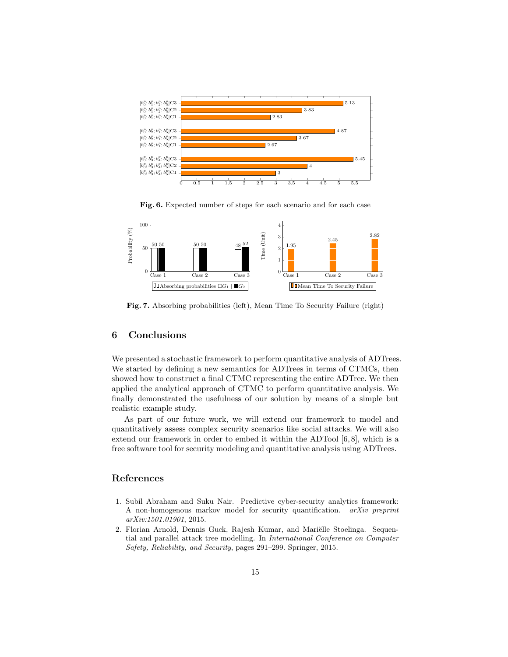

Fig. 6. Expected number of steps for each scenario and for each case



Fig. 7. Absorbing probabilities (left), Mean Time To Security Failure (right)

### 6 Conclusions

We presented a stochastic framework to perform quantitative analysis of ADTrees. We started by defining a new semantics for ADTrees in terms of CTMCs, then showed how to construct a final CTMC representing the entire ADTree. We then applied the analytical approach of CTMC to perform quantitative analysis. We finally demonstrated the usefulness of our solution by means of a simple but realistic example study.

As part of our future work, we will extend our framework to model and quantitatively assess complex security scenarios like social attacks. We will also extend our framework in order to embed it within the ADTool  $[6, 8]$ , which is a free software tool for security modeling and quantitative analysis using ADTrees.

# References

- 1. Subil Abraham and Suku Nair. Predictive cyber-security analytics framework: A non-homogenous markov model for security quantification. arXiv preprint arXiv:1501.01901, 2015.
- 2. Florian Arnold, Dennis Guck, Rajesh Kumar, and Mariëlle Stoelinga. Sequential and parallel attack tree modelling. In International Conference on Computer Safety, Reliability, and Security, pages 291–299. Springer, 2015.